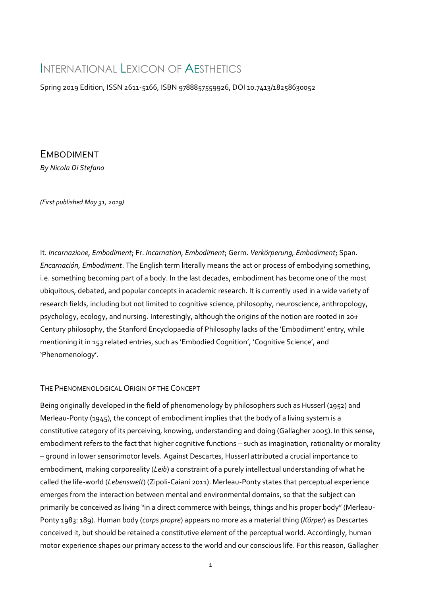# INTERNATIONAL LEXICON OF AESTHETICS

Spring 2019 Edition, ISSN 2611-5166, ISBN 9788857559926, DOI 10.7413/18258630052

EMBODIMENT *By Nicola Di Stefano*

*(First published May 31, 2019)*

It. *Incarnazione, Embodiment*; Fr. *Incarnation, Embodiment*; Germ. *Verkörperung, Embodiment*; Span. *Encarnación, Embodiment*. The English term literally means the act or process of embodying something, i.e. something becoming part of a body. In the last decades, embodiment has become one of the most ubiquitous, debated, and popular concepts in academic research. It is currently used in a wide variety of research fields, including but not limited to cognitive science, philosophy, neuroscience, anthropology, psychology, ecology, and nursing. Interestingly, although the origins of the notion are rooted in 20th Century philosophy, the Stanford Encyclopaedia of Philosophy lacks of the 'Embodiment' entry, while mentioning it in 153 related entries, such as 'Embodied Cognition', 'Cognitive Science', and 'Phenomenology'.

## THE PHENOMENOLOGICAL ORIGIN OF THE CONCEPT

Being originally developed in the field of phenomenology by philosophers such as Husserl (1952) and Merleau-Ponty (1945), the concept of embodiment implies that the body of a living system is a constitutive category of its perceiving, knowing, understanding and doing (Gallagher 2005). In this sense, embodiment refers to the fact that higher cognitive functions – such as imagination, rationality or morality – ground in lower sensorimotor levels. Against Descartes, Husserl attributed a crucial importance to embodiment, making corporeality (*Leib*) a constraint of a purely intellectual understanding of what he called the life-world (*Lebenswelt*) (Zipoli-Caiani 2011). Merleau-Ponty states that perceptual experience emerges from the interaction between mental and environmental domains, so that the subject can primarily be conceived as living "in a direct commerce with beings, things and his proper body" (Merleau-Ponty 1983: 189). Human body (*corps propre*) appears no more as a material thing (*Körper*) as Descartes conceived it, but should be retained a constitutive element of the perceptual world. Accordingly, human motor experience shapes our primary access to the world and our conscious life. For this reason, Gallagher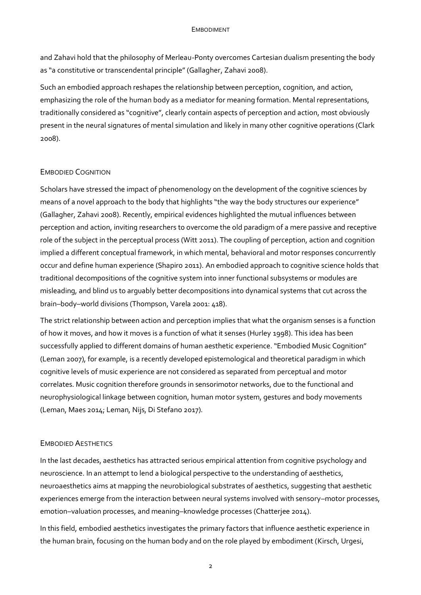and Zahavi hold that the philosophy of Merleau-Ponty overcomes Cartesian dualism presenting the body as "a constitutive or transcendental principle" (Gallagher, Zahavi 2008).

Such an embodied approach reshapes the relationship between perception, cognition, and action, emphasizing the role of the human body as a mediator for meaning formation. Mental representations, traditionally considered as "cognitive", clearly contain aspects of perception and action, most obviously present in the neural signatures of mental simulation and likely in many other cognitive operations (Clark 2008).

## EMBODIED COGNITION

Scholars have stressed the impact of phenomenology on the development of the cognitive sciences by means of a novel approach to the body that highlights "the way the body structures our experience" (Gallagher, Zahavi 2008). Recently, empirical evidences highlighted the mutual influences between perception and action, inviting researchers to overcome the old paradigm of a mere passive and receptive role of the subject in the perceptual process (Witt 2011). The coupling of perception, action and cognition implied a different conceptual framework, in which mental, behavioral and motor responses concurrently occur and define human experience (Shapiro 2011). An embodied approach to cognitive science holds that traditional decompositions of the cognitive system into inner functional subsystems or modules are misleading, and blind us to arguably better decompositions into dynamical systems that cut across the brain–body–world divisions (Thompson, Varela 2001: 418).

The strict relationship between action and perception implies that what the organism senses is a function of how it moves, and how it moves is a function of what it senses (Hurley 1998). This idea has been successfully applied to different domains of human aesthetic experience. "Embodied Music Cognition" (Leman 2007), for example, is a recently developed epistemological and theoretical paradigm in which cognitive levels of music experience are not considered as separated from perceptual and motor correlates. Music cognition therefore grounds in sensorimotor networks, due to the functional and neurophysiological linkage between cognition, human motor system, gestures and body movements (Leman, Maes 2014; Leman, Nijs, Di Stefano 2017).

## EMBODIED AESTHETICS

In the last decades, aesthetics has attracted serious empirical attention from cognitive psychology and neuroscience. In an attempt to lend a biological perspective to the understanding of aesthetics, neuroaesthetics aims at mapping the neurobiological substrates of aesthetics, suggesting that aesthetic experiences emerge from the interaction between neural systems involved with sensory–motor processes, emotion–valuation processes, and meaning–knowledge processes (Chatterjee 2014).

In this field, embodied aesthetics investigates the primary factors that influence aesthetic experience in the human brain, focusing on the human body and on the role played by embodiment (Kirsch, Urgesi,

2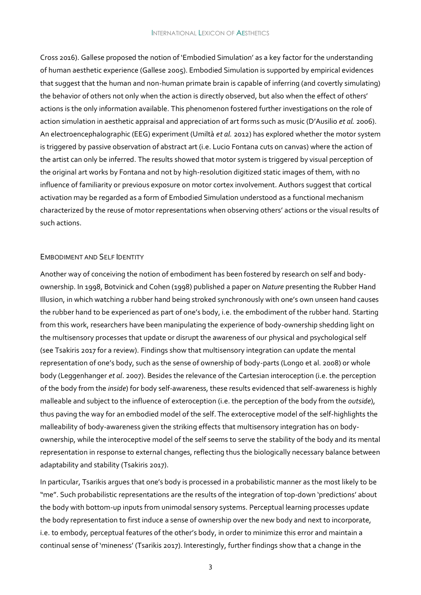Cross 2016). Gallese proposed the notion of 'Embodied Simulation' as a key factor for the understanding of human aesthetic experience (Gallese 2005). Embodied Simulation is supported by empirical evidences that suggest that the human and non-human primate brain is capable of inferring (and covertly simulating) the behavior of others not only when the action is directly observed, but also when the effect of others' actions is the only information available. This phenomenon fostered further investigations on the role of action simulation in aesthetic appraisal and appreciation of art forms such as music (D'Ausilio *et al.* 2006). An electroencephalographic (EEG) experiment (Umiltà *et al.* 2012) has explored whether the motor system is triggered by passive observation of abstract art (i.e. Lucio Fontana cuts on canvas) where the action of the artist can only be inferred. The results showed that motor system is triggered by visual perception of the original art works by Fontana and not by high-resolution digitized static images of them, with no influence of familiarity or previous exposure on motor cortex involvement. Authors suggest that cortical activation may be regarded as a form of Embodied Simulation understood as a functional mechanism characterized by the reuse of motor representations when observing others' actions or the visual results of such actions.

#### EMBODIMENT AND SELF IDENTITY

Another way of conceiving the notion of embodiment has been fostered by research on self and bodyownership. In 1998, Botvinick and Cohen (1998) published a paper on *Nature* presenting the Rubber Hand Illusion, in which watching a rubber hand being stroked synchronously with one's own unseen hand causes the rubber hand to be experienced as part of one's body, i.e. the embodiment of the rubber hand. Starting from this work, researchers have been manipulating the experience of body-ownership shedding light on the multisensory processes that update or disrupt the awareness of our physical and psychological self (see Tsakiris 2017 for a review). Findings show that multisensory integration can update the mental representation of one's body, such as the sense of ownership of body-parts (Longo et al. 2008) or whole body (Leggenhanger *et al*. 2007). Besides the relevance of the Cartesian interoception (i.e. the perception of the body from the *inside*) for body self-awareness, these results evidenced that self-awareness is highly malleable and subject to the influence of exteroception (i.e. the perception of the body from the *outside*), thus paving the way for an embodied model of the self. The exteroceptive model of the self-highlights the malleability of body-awareness given the striking effects that multisensory integration has on bodyownership, while the interoceptive model of the self seems to serve the stability of the body and its mental representation in response to external changes, reflecting thus the biologically necessary balance between adaptability and stability (Tsakiris 2017).

In particular, Tsarikis argues that one's body is processed in a probabilistic manner as the most likely to be "me". Such probabilistic representations are the results of the integration of top-down 'predictions' about the body with bottom-up inputs from unimodal sensory systems. Perceptual learning processes update the body representation to first induce a sense of ownership over the new body and next to incorporate, i.e. to embody, perceptual features of the other's body, in order to minimize this error and maintain a continual sense of 'mineness' (Tsarikis 2017). Interestingly, further findings show that a change in the

3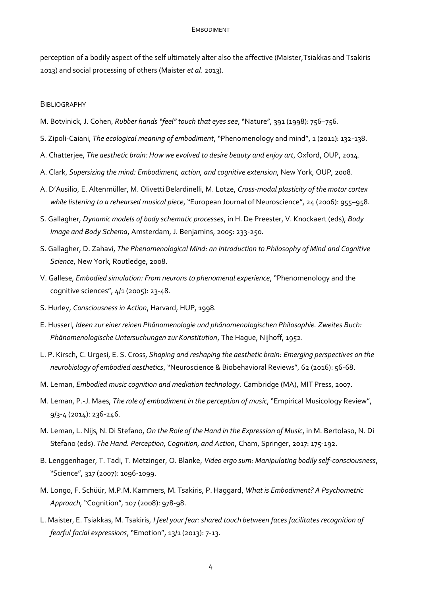perception of a bodily aspect of the self ultimately alter also the affective (Maister,Tsiakkas and Tsakiris 2013) and social processing of others (Maister *et al*. 2013).

#### **BIBLIOGRAPHY**

- M. Botvinick, J. Cohen, *Rubber hands "feel" touch that eyes see*,"Nature"*,* 391 (1998): 756–756*.*
- S. Zipoli-Caiani, *The ecological meaning of embodiment*, "Phenomenology and mind", 1 (2011): 132-138.
- A. Chatterjee, *The aesthetic brain: How we evolved to desire beauty and enjoy art*, Oxford, OUP, 2014.
- A. Clark, *Supersizing the mind: Embodiment, action, and cognitive extension*, New York, OUP, 2008.
- A. D'Ausilio, E. Altenmüller, M. Olivetti Belardinelli, M. Lotze, *Cross-modal plasticity of the motor cortex while listening to a rehearsed musical piece*, "European Journal of Neuroscience", 24 (2006): 955–958.
- S. Gallagher, *Dynamic models of body schematic processes*, in H. De Preester, V. Knockaert (eds), *Body Image and Body Schema*, Amsterdam, J. Benjamins, 2005: 233-250.
- S. Gallagher, D. Zahavi, *The Phenomenological Mind: an Introduction to Philosophy of Mind and Cognitive Science*, New York, Routledge, 2008.
- V. Gallese, *Embodied simulation: From neurons to phenomenal experience*, "Phenomenology and the cognitive sciences", 4/1 (2005): 23-48.
- S. Hurley, *Consciousness in Action*, Harvard, HUP, 1998.
- E. Husserl, *Ideen zur einer reinen Phänomenologie und phänomenologischen Philosophie. Zweites Buch: Phänomenologische Untersuchungen zur Konstitution*, The Hague, Nijhoff, 1952.
- L. P. Kirsch, C. Urgesi, E. S. Cross, *Shaping and reshaping the aesthetic brain: Emerging perspectives on the neurobiology of embodied aesthetics*, "Neuroscience & Biobehavioral Reviews", 62 (2016): 56-68.
- M. Leman, *Embodied music cognition and mediation technology*. Cambridge (MA), MIT Press, 2007.
- M. Leman, P.-J. Maes, *The role of embodiment in the perception of music*, "Empirical Musicology Review", 9/3-4 (2014): 236-246.
- M. Leman, L. Nijs, N. Di Stefano, *On the Role of the Hand in the Expression of Music*, in M. Bertolaso, N. Di Stefano (eds). *The Hand. Perception, Cognition, and Action*, Cham, Springer, 2017: 175-192.
- B. Lenggenhager, T. Tadi, T. Metzinger, O. Blanke, *Video ergo sum: Manipulating bodily self-consciousness*, "Science", 317 (2007): 1096-1099.
- M. Longo, F. Schüür, M.P.M. Kammers, M. Tsakiris, P. Haggard, *What is Embodiment? A Psychometric Approach,* "Cognition"*,* 107 (2008): 978-98.
- L. Maister, E. Tsiakkas, M. Tsakiris, *I feel your fear: shared touch between faces facilitates recognition of fearful facial expressions*, "Emotion", 13/1 (2013): 7-13.